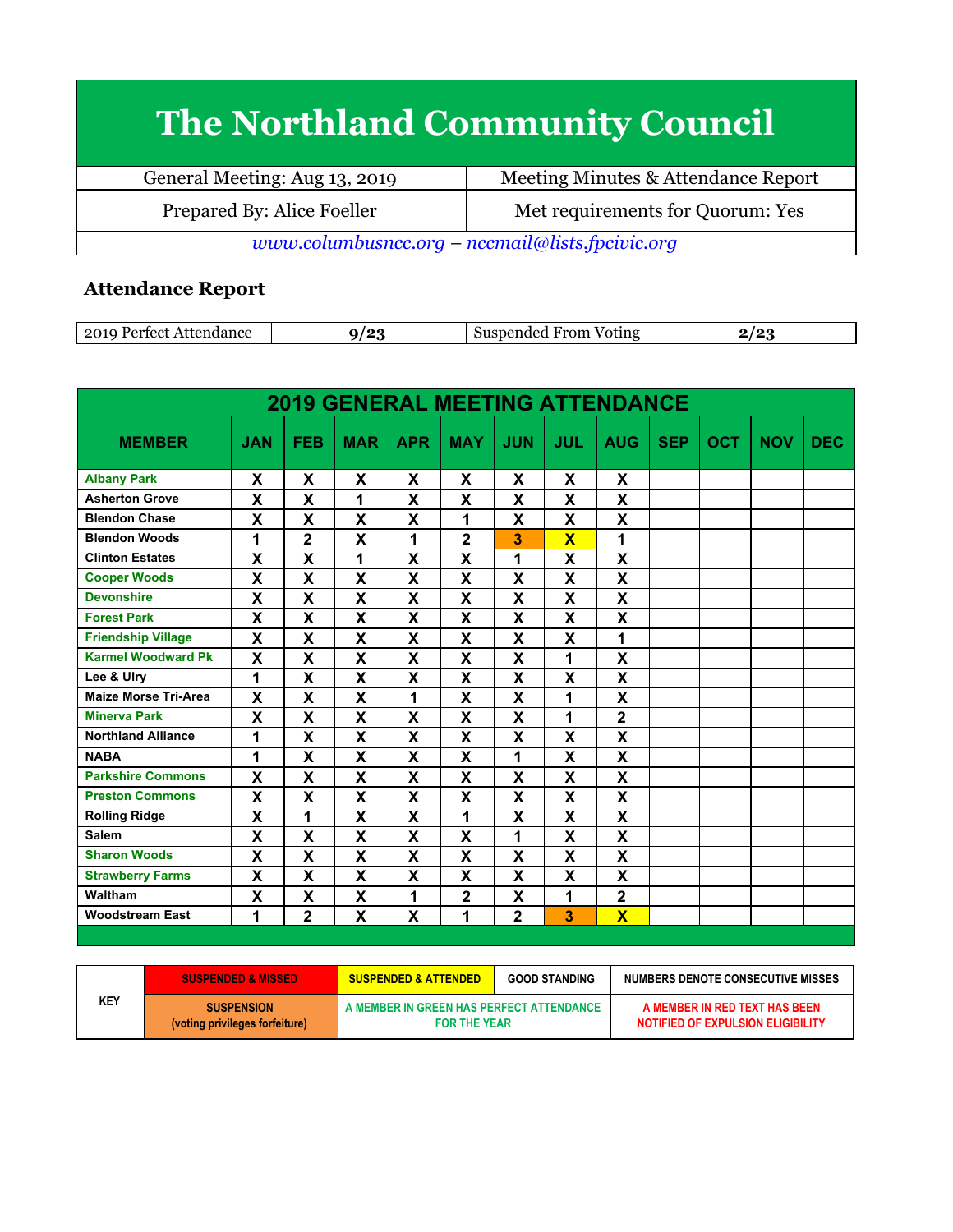## **The Northland Community Council**

| General Meeting: Aug 13, 2019                   | Meeting Minutes & Attendance Report |  |  |  |
|-------------------------------------------------|-------------------------------------|--|--|--|
| Prepared By: Alice Foeller                      | Met requirements for Quorum: Yes    |  |  |  |
| www.columbusncc.org – nccmail@lists.fpcivic.org |                                     |  |  |  |

## **Attendance Report**

| 2010<br>lance<br>. tect<br>ATTAN.<br>∸∪∸ | ′െ | .<br>Voting<br>. нг<br>,,,,, | . |
|------------------------------------------|----|------------------------------|---|
|                                          |    |                              |   |

| <b>2019 GENERAL MEETING ATTENDANCE</b> |                           |                         |             |            |                           |                           |                         |                         |            |            |            |            |
|----------------------------------------|---------------------------|-------------------------|-------------|------------|---------------------------|---------------------------|-------------------------|-------------------------|------------|------------|------------|------------|
| <b>MEMBER</b>                          | <b>JAN</b>                | <b>FEB</b>              | <b>MAR</b>  | <b>APR</b> | <b>MAY</b>                | <b>JUN</b>                | <b>JUL</b>              | <b>AUG</b>              | <b>SEP</b> | <b>OCT</b> | <b>NOV</b> | <b>DEC</b> |
| <b>Albany Park</b>                     | X                         | X                       | X           | X          | X                         | X                         | X                       | X                       |            |            |            |            |
| <b>Asherton Grove</b>                  | X                         | X                       | 1           | X          | X                         | X                         | X                       | X                       |            |            |            |            |
| <b>Blendon Chase</b>                   | X                         | X                       | $\mathbf x$ | X          | 1                         | X                         | $\mathbf x$             | X                       |            |            |            |            |
| <b>Blendon Woods</b>                   | 1                         | $\mathbf 2$             | X           | 1          | $\overline{2}$            | 3                         | $\overline{\mathbf{x}}$ | 1                       |            |            |            |            |
| <b>Clinton Estates</b>                 | X                         | X                       | 1           | X          | $\boldsymbol{\mathsf{x}}$ | 1                         | X                       | X                       |            |            |            |            |
| <b>Cooper Woods</b>                    | X                         | X                       | X           | X          | X                         | $\boldsymbol{\mathsf{x}}$ | X                       | X                       |            |            |            |            |
| <b>Devonshire</b>                      | X                         | X                       | X           | X          | X                         | X                         | X                       | X                       |            |            |            |            |
| <b>Forest Park</b>                     | X                         | X                       | X           | X          | $\mathbf x$               | X                         | X                       | X                       |            |            |            |            |
| <b>Friendship Village</b>              | X                         | X                       | X           | X          | X                         | X                         | X                       | 1                       |            |            |            |            |
| <b>Karmel Woodward Pk</b>              | $\boldsymbol{\mathsf{x}}$ | X                       | X           | X          | $\mathbf x$               | X                         | 1                       | X                       |            |            |            |            |
| Lee & Ulry                             | 1                         | X                       | X           | X          | X                         | X                         | X                       | X                       |            |            |            |            |
| <b>Maize Morse Tri-Area</b>            | X                         | X                       | X           | 1          | X                         | X                         | 1                       | X                       |            |            |            |            |
| <b>Minerva Park</b>                    | $\mathbf x$               | $\overline{\mathbf{X}}$ | X           | X          | $\mathbf x$               | $\mathbf{x}$              | 1                       | $\overline{2}$          |            |            |            |            |
| <b>Northland Alliance</b>              | 1                         | X                       | X           | X          | X                         | X                         | X                       | X                       |            |            |            |            |
| <b>NABA</b>                            | 1                         | X                       | X           | X          | X                         | 1                         | X                       | X                       |            |            |            |            |
| <b>Parkshire Commons</b>               | X                         | X                       | X           | X          | X                         | $\boldsymbol{\mathsf{X}}$ | X                       | X                       |            |            |            |            |
| <b>Preston Commons</b>                 | X                         | X                       | X           | X          | X                         | X                         | X                       | X                       |            |            |            |            |
| <b>Rolling Ridge</b>                   | $\mathbf x$               | 1                       | X           | X          | 1                         | $\mathbf{x}$              | X                       | X                       |            |            |            |            |
| <b>Salem</b>                           | X                         | X                       | X           | X          | X                         | 1                         | X                       | X                       |            |            |            |            |
| <b>Sharon Woods</b>                    | $\mathbf x$               | X                       | X           | X          | $\boldsymbol{\mathsf{x}}$ | X                         | X                       | X                       |            |            |            |            |
| <b>Strawberry Farms</b>                | X                         | X                       | X           | X          | X                         | X                         | X                       | X                       |            |            |            |            |
| Waltham                                | $\boldsymbol{\mathsf{X}}$ | X                       | X           | 1          | $\overline{\mathbf{2}}$   | X                         | 1                       | $\overline{\mathbf{2}}$ |            |            |            |            |
| <b>Woodstream East</b>                 | 1                         | $\overline{2}$          | X           | X          | 1                         | $\overline{2}$            | 3                       | $\overline{\mathsf{x}}$ |            |            |            |            |

|     | <b>SUSPENDED &amp; MISSED</b>                       | <b>SUSPENDED &amp; ATTENDED</b>                                 | <b>GOOD STANDING</b> | NUMBERS DENOTE CONSECUTIVE MISSES                                  |
|-----|-----------------------------------------------------|-----------------------------------------------------------------|----------------------|--------------------------------------------------------------------|
| KEY | <b>SUSPENSION</b><br>(voting privileges forfeiture) | A MEMBER IN GREEN HAS PERFECT ATTENDANCE<br><b>FOR THE YEAR</b> |                      | A MEMBER IN RED TEXT HAS BEEN<br>NOTIFIED OF EXPULSION ELIGIBILITY |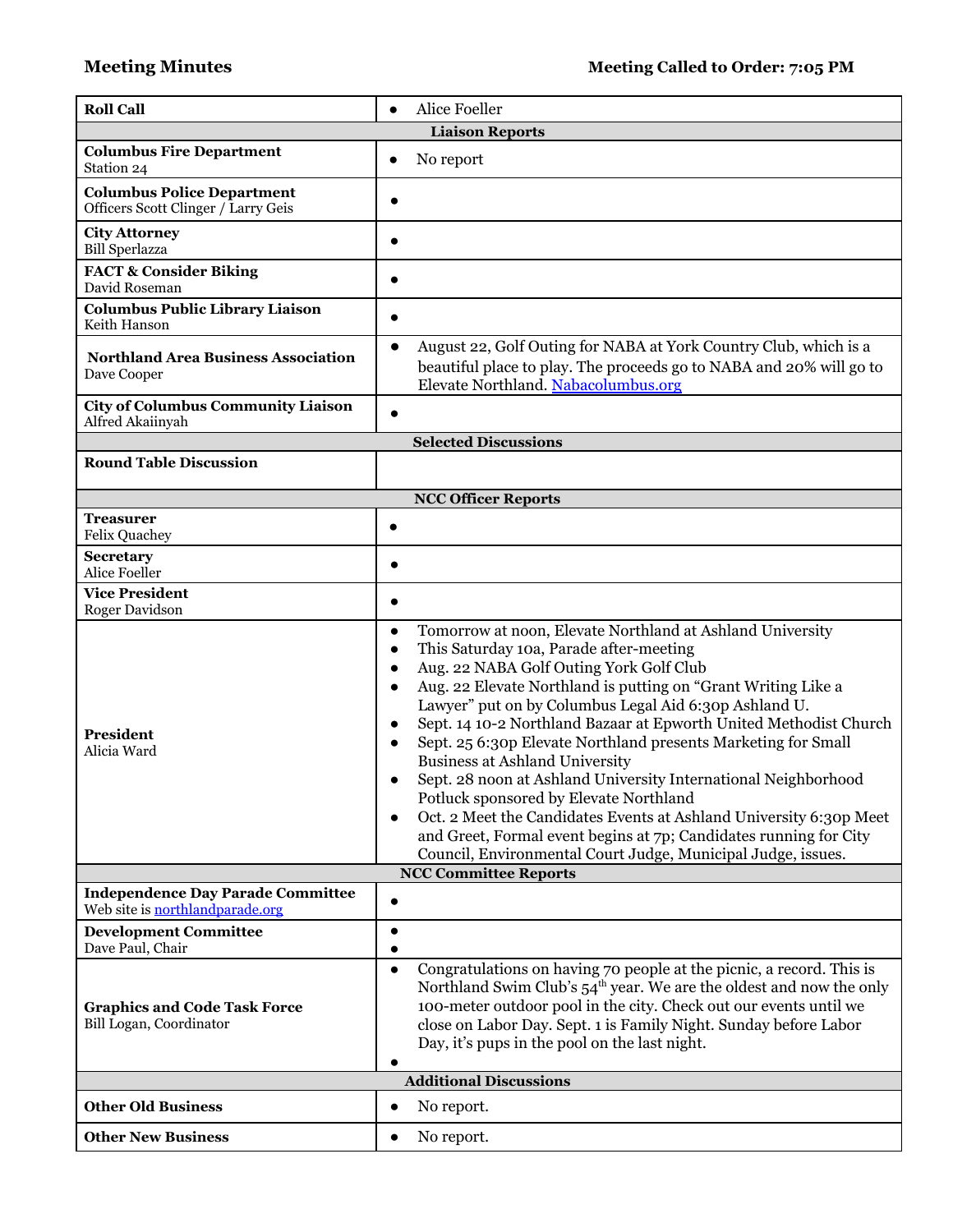| <b>Roll Call</b>                                                            | Alice Foeller                                                                                                                                                                                                                                                                                                                                                                                                                                                                                                                                                                                                                                                                                                                                                                                             |
|-----------------------------------------------------------------------------|-----------------------------------------------------------------------------------------------------------------------------------------------------------------------------------------------------------------------------------------------------------------------------------------------------------------------------------------------------------------------------------------------------------------------------------------------------------------------------------------------------------------------------------------------------------------------------------------------------------------------------------------------------------------------------------------------------------------------------------------------------------------------------------------------------------|
|                                                                             | <b>Liaison Reports</b>                                                                                                                                                                                                                                                                                                                                                                                                                                                                                                                                                                                                                                                                                                                                                                                    |
| <b>Columbus Fire Department</b><br>Station 24                               | No report<br>$\bullet$                                                                                                                                                                                                                                                                                                                                                                                                                                                                                                                                                                                                                                                                                                                                                                                    |
| <b>Columbus Police Department</b><br>Officers Scott Clinger / Larry Geis    |                                                                                                                                                                                                                                                                                                                                                                                                                                                                                                                                                                                                                                                                                                                                                                                                           |
| <b>City Attorney</b><br><b>Bill Sperlazza</b>                               |                                                                                                                                                                                                                                                                                                                                                                                                                                                                                                                                                                                                                                                                                                                                                                                                           |
| <b>FACT &amp; Consider Biking</b><br>David Roseman                          |                                                                                                                                                                                                                                                                                                                                                                                                                                                                                                                                                                                                                                                                                                                                                                                                           |
| <b>Columbus Public Library Liaison</b><br>Keith Hanson                      |                                                                                                                                                                                                                                                                                                                                                                                                                                                                                                                                                                                                                                                                                                                                                                                                           |
| <b>Northland Area Business Association</b><br>Dave Cooper                   | August 22, Golf Outing for NABA at York Country Club, which is a<br>$\bullet$<br>beautiful place to play. The proceeds go to NABA and 20% will go to<br>Elevate Northland. Nabacolumbus.org                                                                                                                                                                                                                                                                                                                                                                                                                                                                                                                                                                                                               |
| <b>City of Columbus Community Liaison</b><br>Alfred Akaiinyah               | $\bullet$                                                                                                                                                                                                                                                                                                                                                                                                                                                                                                                                                                                                                                                                                                                                                                                                 |
|                                                                             | <b>Selected Discussions</b>                                                                                                                                                                                                                                                                                                                                                                                                                                                                                                                                                                                                                                                                                                                                                                               |
| <b>Round Table Discussion</b>                                               |                                                                                                                                                                                                                                                                                                                                                                                                                                                                                                                                                                                                                                                                                                                                                                                                           |
|                                                                             | <b>NCC Officer Reports</b>                                                                                                                                                                                                                                                                                                                                                                                                                                                                                                                                                                                                                                                                                                                                                                                |
| <b>Treasurer</b><br><b>Felix Quachey</b>                                    | $\bullet$                                                                                                                                                                                                                                                                                                                                                                                                                                                                                                                                                                                                                                                                                                                                                                                                 |
| Secretary<br>Alice Foeller                                                  | $\bullet$                                                                                                                                                                                                                                                                                                                                                                                                                                                                                                                                                                                                                                                                                                                                                                                                 |
| <b>Vice President</b><br>Roger Davidson                                     | $\bullet$                                                                                                                                                                                                                                                                                                                                                                                                                                                                                                                                                                                                                                                                                                                                                                                                 |
| <b>President</b><br>Alicia Ward                                             | Tomorrow at noon, Elevate Northland at Ashland University<br>This Saturday 10a, Parade after-meeting<br>$\bullet$<br>Aug. 22 NABA Golf Outing York Golf Club<br>Aug. 22 Elevate Northland is putting on "Grant Writing Like a<br>Lawyer" put on by Columbus Legal Aid 6:30p Ashland U.<br>Sept. 14 10-2 Northland Bazaar at Epworth United Methodist Church<br>Sept. 25 6:30p Elevate Northland presents Marketing for Small<br><b>Business at Ashland University</b><br>Sept. 28 noon at Ashland University International Neighborhood<br>Potluck sponsored by Elevate Northland<br>Oct. 2 Meet the Candidates Events at Ashland University 6:30p Meet<br>$\bullet$<br>and Greet, Formal event begins at 7p; Candidates running for City<br>Council, Environmental Court Judge, Municipal Judge, issues. |
|                                                                             | <b>NCC Committee Reports</b>                                                                                                                                                                                                                                                                                                                                                                                                                                                                                                                                                                                                                                                                                                                                                                              |
| <b>Independence Day Parade Committee</b><br>Web site is northlandparade.org |                                                                                                                                                                                                                                                                                                                                                                                                                                                                                                                                                                                                                                                                                                                                                                                                           |
| <b>Development Committee</b><br>Dave Paul, Chair                            |                                                                                                                                                                                                                                                                                                                                                                                                                                                                                                                                                                                                                                                                                                                                                                                                           |
| <b>Graphics and Code Task Force</b><br>Bill Logan, Coordinator              | Congratulations on having 70 people at the picnic, a record. This is<br>$\bullet$<br>Northland Swim Club's 54 <sup>th</sup> year. We are the oldest and now the only<br>100-meter outdoor pool in the city. Check out our events until we<br>close on Labor Day. Sept. 1 is Family Night. Sunday before Labor<br>Day, it's pups in the pool on the last night.<br>$\bullet$                                                                                                                                                                                                                                                                                                                                                                                                                               |
|                                                                             | <b>Additional Discussions</b>                                                                                                                                                                                                                                                                                                                                                                                                                                                                                                                                                                                                                                                                                                                                                                             |
| <b>Other Old Business</b>                                                   | No report.<br>$\bullet$                                                                                                                                                                                                                                                                                                                                                                                                                                                                                                                                                                                                                                                                                                                                                                                   |
| <b>Other New Business</b>                                                   | No report.<br>$\bullet$                                                                                                                                                                                                                                                                                                                                                                                                                                                                                                                                                                                                                                                                                                                                                                                   |